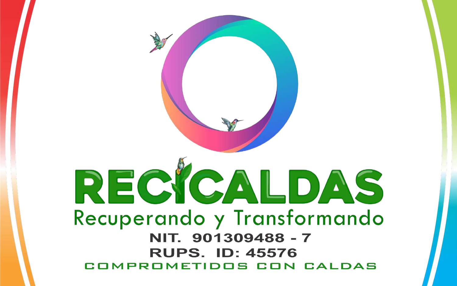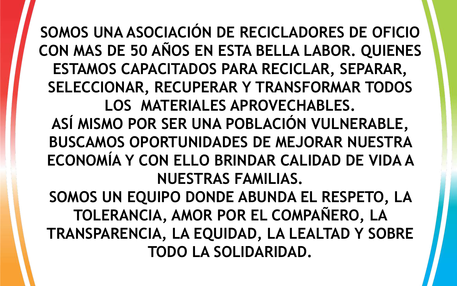**SOMOS UNA ASOCIACIÓN DE RECICLADORES DE OFICIO CON MAS DE 50 AÑOS EN ESTA BELLA LABOR. QUIENES ESTAMOS CAPACITADOS PARA RECICLAR, SEPARAR, SELECCIONAR, RECUPERAR Y TRANSFORMAR TODOS LOS MATERIALES APROVECHABLES. ASÍ MISMO POR SER UNA POBLACIÓN VULNERABLE, BUSCAMOS OPORTUNIDADES DE MEJORAR NUESTRA ECONOMÍA Y CON ELLO BRINDAR CALIDAD DE VIDA A NUESTRAS FAMILIAS. SOMOS UN EQUIPO DONDE ABUNDA EL RESPETO, LA TOLERANCIA, AMOR POR EL COMPAÑERO, LA TRANSPARENCIA, LA EQUIDAD, LA LEALTAD Y SOBRE TODO LA SOLIDARIDAD.**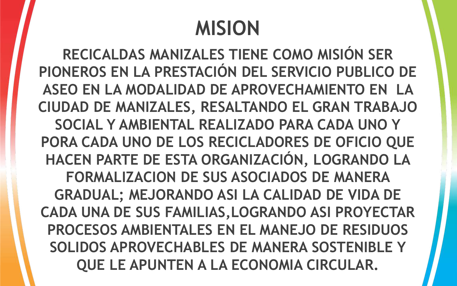## **MISION**

**RECICALDAS MANIZALES TIENE COMO MISIÓN SER PIONEROS EN LA PRESTACIÓN DEL SERVICIO PUBLICO DE ASEO EN LA MODALIDAD DE APROVECHAMIENTO EN LA CIUDAD DE MANIZALES, RESALTANDO EL GRAN TRABAJO SOCIAL Y AMBIENTAL REALIZADO PARA CADA UNO Y PORA CADA UNO DE LOS RECICLADORES DE OFICIO QUE HACEN PARTE DE ESTA ORGANIZACIÓN, LOGRANDO LA FORMALIZACION DE SUS ASOCIADOS DE MANERA GRADUAL; MEJORANDO ASI LA CALIDAD DE VIDA DE CADA UNA DE SUS FAMILIAS,LOGRANDO ASI PROYECTAR PROCESOS AMBIENTALES EN EL MANEJO DE RESIDUOS SOLIDOS APROVECHABLES DE MANERA SOSTENIBLE Y QUE LE APUNTEN A LA ECONOMIA CIRCULAR.**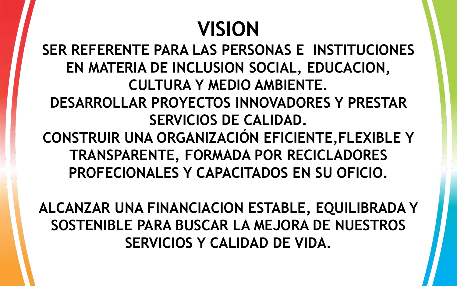## **VISION**

**SER REFERENTE PARA LAS PERSONAS E INSTITUCIONES EN MATERIA DE INCLUSION SOCIAL, EDUCACION, CULTURA Y MEDIO AMBIENTE. DESARROLLAR PROYECTOS INNOVADORES Y PRESTAR SERVICIOS DE CALIDAD. CONSTRUIR UNA ORGANIZACIÓN EFICIENTE,FLEXIBLE Y TRANSPARENTE, FORMADA POR RECICLADORES PROFECIONALES Y CAPACITADOS EN SU OFICIO.**

**ALCANZAR UNA FINANCIACION ESTABLE, EQUILIBRADA Y SOSTENIBLE PARA BUSCAR LA MEJORA DE NUESTROS SERVICIOS Y CALIDAD DE VIDA.**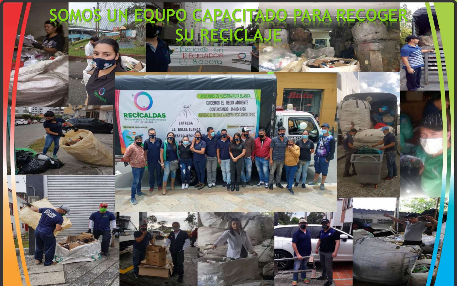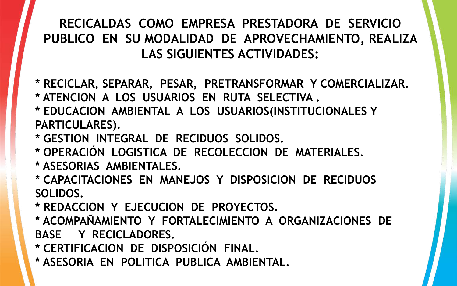## **RECICALDAS COMO EMPRESA PRESTADORA DE SERVICIO PUBLICO EN SU MODALIDAD DE APROVECHAMIENTO, REALIZA LAS SIGUIENTES ACTIVIDADES:**

- **\* RECICLAR, SEPARAR, PESAR, PRETRANSFORMAR Y COMERCIALIZAR.**
- **\* ATENCION A LOS USUARIOS EN RUTA SELECTIVA .**
- **\* EDUCACION AMBIENTAL A LOS USUARIOS(INSTITUCIONALES Y PARTICULARES).**
- **\* GESTION INTEGRAL DE RECIDUOS SOLIDOS.**
- **\* OPERACIÓN LOGISTICA DE RECOLECCION DE MATERIALES.**
- **\* ASESORIAS AMBIENTALES.**
- **\* CAPACITACIONES EN MANEJOS Y DISPOSICION DE RECIDUOS SOLIDOS.**
- **\* REDACCION Y EJECUCION DE PROYECTOS.**
- **\* ACOMPAÑAMIENTO Y FORTALECIMIENTO A ORGANIZACIONES DE BASE Y RECICLADORES.**
- **\* CERTIFICACION DE DISPOSICIÓN FINAL.**
- **\* ASESORIA EN POLITICA PUBLICA AMBIENTAL.**